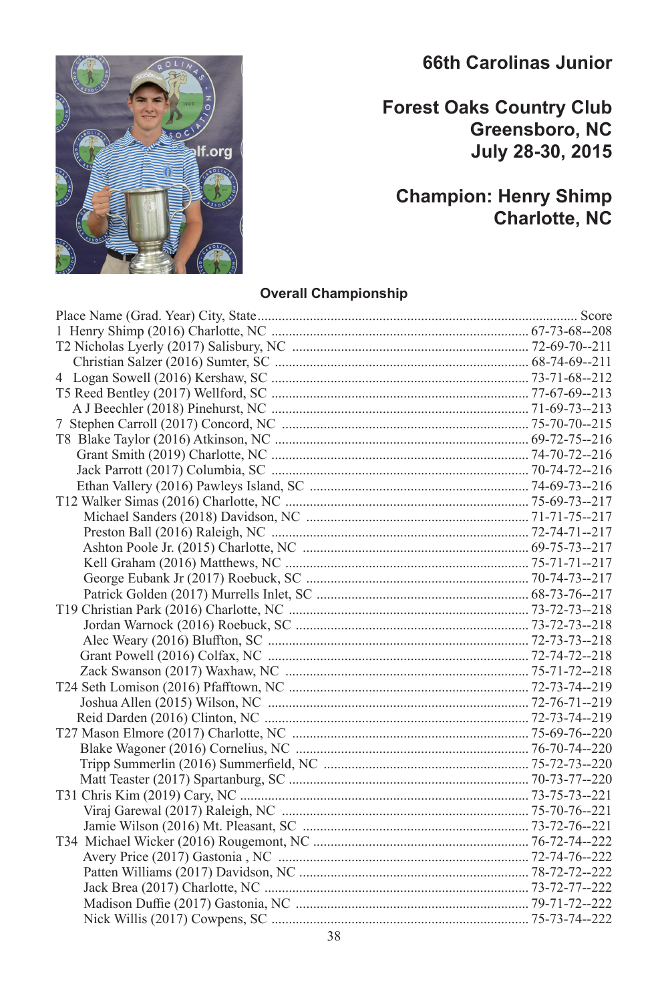## **66th Carolinas Junior**

## **Forest Oaks Country Club Greensboro, NC July 28-30, 2015**

## **Champion: Henry Shimp Charlotte, NC**

#### **Overall Championship**

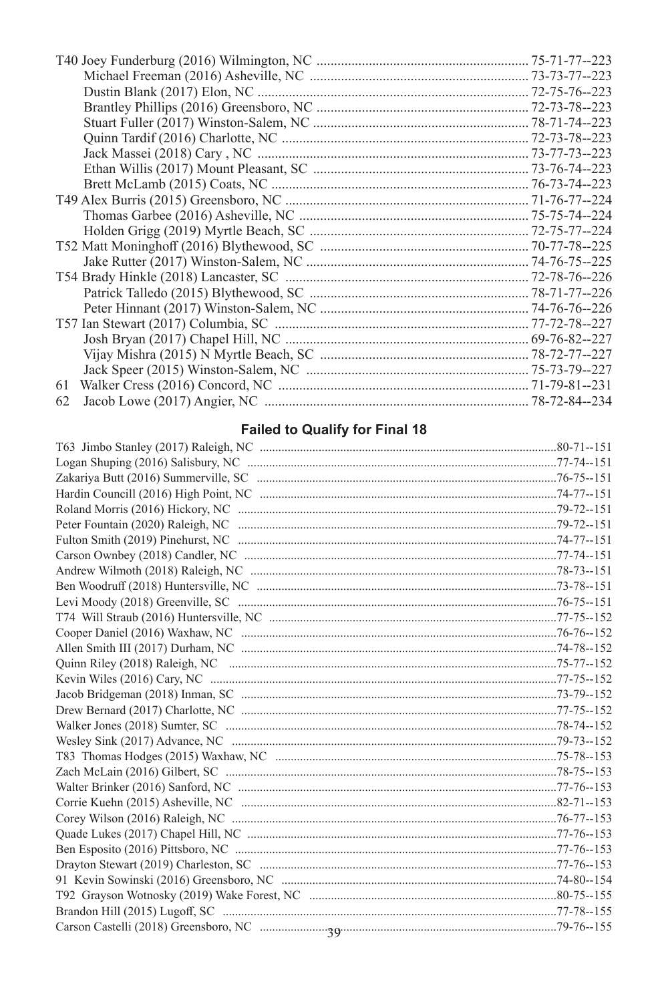| 61 |  |
|----|--|
| 62 |  |

### **Failed to Qualify for Final 18**

| <b>Falled to Quality for Final 16</b> |  |
|---------------------------------------|--|
|                                       |  |
|                                       |  |
|                                       |  |
|                                       |  |
|                                       |  |
|                                       |  |
|                                       |  |
|                                       |  |
|                                       |  |
|                                       |  |
|                                       |  |
|                                       |  |
|                                       |  |
|                                       |  |
|                                       |  |
|                                       |  |
|                                       |  |
|                                       |  |
|                                       |  |
|                                       |  |
|                                       |  |
|                                       |  |
|                                       |  |
|                                       |  |
|                                       |  |
|                                       |  |
|                                       |  |
|                                       |  |
|                                       |  |
|                                       |  |
|                                       |  |
|                                       |  |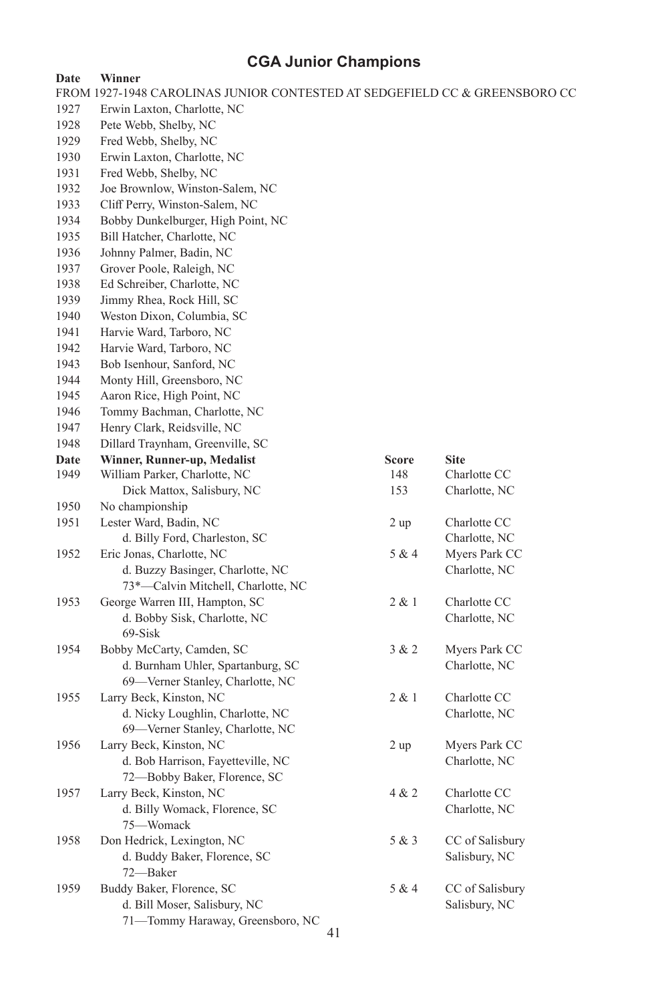| Date         | Winner                                                                     |                     |                 |
|--------------|----------------------------------------------------------------------------|---------------------|-----------------|
|              | FROM 1927-1948 CAROLINAS JUNIOR CONTESTED AT SEDGEFIELD CC & GREENSBORO CC |                     |                 |
| 1927         | Erwin Laxton, Charlotte, NC                                                |                     |                 |
| 1928         | Pete Webb, Shelby, NC                                                      |                     |                 |
| 1929         | Fred Webb, Shelby, NC                                                      |                     |                 |
| 1930         | Erwin Laxton, Charlotte, NC                                                |                     |                 |
| 1931         | Fred Webb, Shelby, NC                                                      |                     |                 |
| 1932         | Joe Brownlow, Winston-Salem, NC                                            |                     |                 |
| 1933         | Cliff Perry, Winston-Salem, NC                                             |                     |                 |
| 1934         | Bobby Dunkelburger, High Point, NC                                         |                     |                 |
| 1935         | Bill Hatcher, Charlotte, NC                                                |                     |                 |
| 1936         | Johnny Palmer, Badin, NC                                                   |                     |                 |
| 1937         | Grover Poole, Raleigh, NC                                                  |                     |                 |
| 1938         | Ed Schreiber, Charlotte, NC                                                |                     |                 |
| 1939         | Jimmy Rhea, Rock Hill, SC                                                  |                     |                 |
| 1940         | Weston Dixon, Columbia, SC                                                 |                     |                 |
| 1941         | Harvie Ward, Tarboro, NC                                                   |                     |                 |
| 1942         | Harvie Ward, Tarboro, NC                                                   |                     |                 |
| 1943         | Bob Isenhour, Sanford, NC                                                  |                     |                 |
| 1944         | Monty Hill, Greensboro, NC                                                 |                     |                 |
| 1945         | Aaron Rice, High Point, NC                                                 |                     |                 |
| 1946         | Tommy Bachman, Charlotte, NC                                               |                     |                 |
| 1947         | Henry Clark, Reidsville, NC                                                |                     |                 |
| 1948         | Dillard Traynham, Greenville, SC                                           |                     |                 |
|              |                                                                            |                     | <b>Site</b>     |
| Date<br>1949 | Winner, Runner-up, Medalist<br>William Parker, Charlotte, NC               | <b>Score</b><br>148 | Charlotte CC    |
|              | Dick Mattox, Salisbury, NC                                                 | 153                 | Charlotte, NC   |
|              |                                                                            |                     |                 |
| 1950         | No championship                                                            |                     |                 |
| 1951         | Lester Ward, Badin, NC                                                     | 2 up                | Charlotte CC    |
|              | d. Billy Ford, Charleston, SC                                              |                     | Charlotte, NC   |
| 1952         | Eric Jonas, Charlotte, NC                                                  | 5 & 4               | Myers Park CC   |
|              | d. Buzzy Basinger, Charlotte, NC                                           |                     | Charlotte, NC   |
|              | 73*-Calvin Mitchell, Charlotte, NC                                         |                     |                 |
| 1953         | George Warren III, Hampton, SC                                             | 2 & 1               | Charlotte CC    |
|              | d. Bobby Sisk, Charlotte, NC                                               |                     | Charlotte, NC   |
|              | 69-Sisk                                                                    |                     |                 |
| 1954         | Bobby McCarty, Camden, SC                                                  | 3 & 2               | Myers Park CC   |
|              | d. Burnham Uhler, Spartanburg, SC                                          |                     | Charlotte, NC   |
|              | 69-Verner Stanley, Charlotte, NC                                           |                     |                 |
| 1955         | Larry Beck, Kinston, NC                                                    | 2 & 1               | Charlotte CC    |
|              | d. Nicky Loughlin, Charlotte, NC                                           |                     | Charlotte, NC   |
|              | 69-Verner Stanley, Charlotte, NC                                           |                     |                 |
| 1956         | Larry Beck, Kinston, NC                                                    | 2 up                | Myers Park CC   |
|              | d. Bob Harrison, Fayetteville, NC                                          |                     | Charlotte, NC   |
|              | 72-Bobby Baker, Florence, SC                                               |                     |                 |
| 1957         | Larry Beck, Kinston, NC                                                    | 4 & 2               | Charlotte CC    |
|              | d. Billy Womack, Florence, SC                                              |                     | Charlotte, NC   |
|              | 75-Womack                                                                  |                     |                 |
| 1958         | Don Hedrick, Lexington, NC                                                 | 5 & 3               | CC of Salisbury |
|              | d. Buddy Baker, Florence, SC                                               |                     | Salisbury, NC   |
|              | 72-Baker                                                                   |                     |                 |
| 1959         | Buddy Baker, Florence, SC                                                  | 5 & 4               | CC of Salisbury |
|              | d. Bill Moser, Salisbury, NC                                               |                     | Salisbury, NC   |
|              | 71-Tommy Haraway, Greensboro, NC                                           |                     |                 |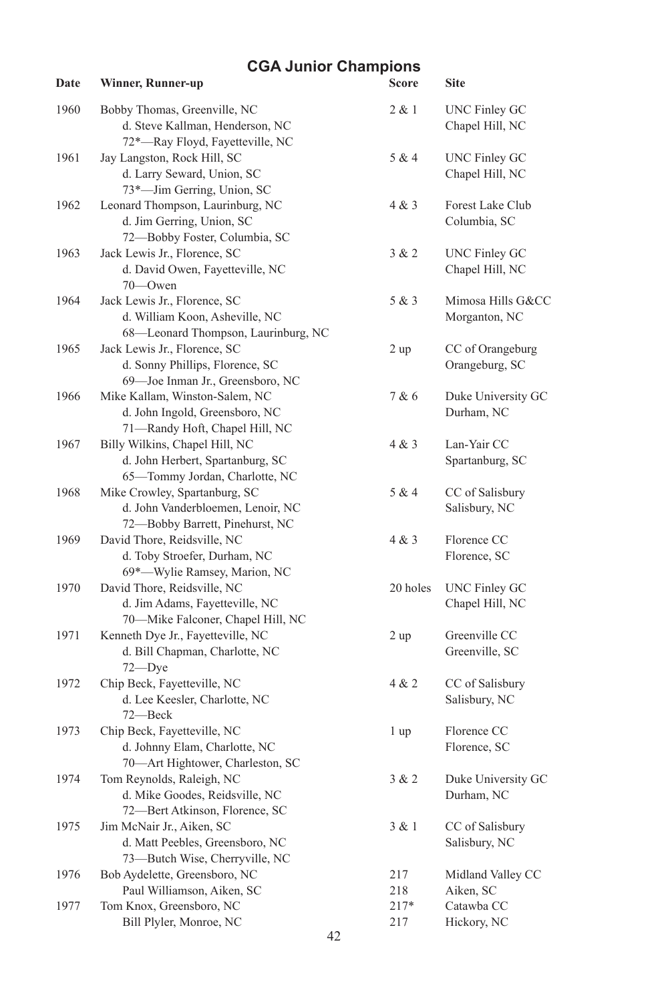| Date | Winner, Runner-up                                                                                     | Score         | <b>Site</b>                             |
|------|-------------------------------------------------------------------------------------------------------|---------------|-----------------------------------------|
| 1960 | Bobby Thomas, Greenville, NC<br>d. Steve Kallman, Henderson, NC<br>72*-Ray Floyd, Fayetteville, NC    | 2 & 1         | <b>UNC Finley GC</b><br>Chapel Hill, NC |
| 1961 | Jay Langston, Rock Hill, SC<br>d. Larry Seward, Union, SC<br>73*-Jim Gerring, Union, SC               | 5 & 4         | <b>UNC Finley GC</b><br>Chapel Hill, NC |
| 1962 | Leonard Thompson, Laurinburg, NC<br>d. Jim Gerring, Union, SC<br>72-Bobby Foster, Columbia, SC        | 4 & 3         | Forest Lake Club<br>Columbia, SC        |
| 1963 | Jack Lewis Jr., Florence, SC<br>d. David Owen, Fayetteville, NC<br>70-Owen                            | 3 & 2         | <b>UNC Finley GC</b><br>Chapel Hill, NC |
| 1964 | Jack Lewis Jr., Florence, SC<br>d. William Koon, Asheville, NC<br>68-Leonard Thompson, Laurinburg, NC | 5 & 3         | Mimosa Hills G&CC<br>Morganton, NC      |
| 1965 | Jack Lewis Jr., Florence, SC<br>d. Sonny Phillips, Florence, SC<br>69-Joe Inman Jr., Greensboro, NC   | 2 up          | CC of Orangeburg<br>Orangeburg, SC      |
| 1966 | Mike Kallam, Winston-Salem, NC<br>d. John Ingold, Greensboro, NC<br>71-Randy Hoft, Chapel Hill, NC    | 7 & 6         | Duke University GC<br>Durham, NC        |
| 1967 | Billy Wilkins, Chapel Hill, NC<br>d. John Herbert, Spartanburg, SC<br>65-Tommy Jordan, Charlotte, NC  | 4 & 3         | Lan-Yair CC<br>Spartanburg, SC          |
| 1968 | Mike Crowley, Spartanburg, SC<br>d. John Vanderbloemen, Lenoir, NC<br>72-Bobby Barrett, Pinehurst, NC | 5 & 4         | CC of Salisbury<br>Salisbury, NC        |
| 1969 | David Thore, Reidsville, NC<br>d. Toby Stroefer, Durham, NC<br>69*-Wylie Ramsey, Marion, NC           | 4 & 3         | Florence CC<br>Florence, SC             |
| 1970 | David Thore, Reidsville, NC<br>d. Jim Adams, Fayetteville, NC<br>70-Mike Falconer, Chapel Hill, NC    | 20 holes      | <b>UNC Finley GC</b><br>Chapel Hill, NC |
| 1971 | Kenneth Dye Jr., Fayetteville, NC<br>d. Bill Chapman, Charlotte, NC<br>$72 - Dye$                     | 2 up          | Greenville CC<br>Greenville, SC         |
| 1972 | Chip Beck, Fayetteville, NC<br>d. Lee Keesler, Charlotte, NC<br>72-Beck                               | 4 & 2         | CC of Salisbury<br>Salisbury, NC        |
| 1973 | Chip Beck, Fayetteville, NC<br>d. Johnny Elam, Charlotte, NC<br>70-Art Hightower, Charleston, SC      | 1 up          | Florence CC<br>Florence, SC             |
| 1974 | Tom Reynolds, Raleigh, NC<br>d. Mike Goodes, Reidsville, NC<br>72-Bert Atkinson, Florence, SC         | 3 & 2         | Duke University GC<br>Durham, NC        |
| 1975 | Jim McNair Jr., Aiken, SC<br>d. Matt Peebles, Greensboro, NC<br>73-Butch Wise, Cherryville, NC        | 3 & 1         | CC of Salisbury<br>Salisbury, NC        |
| 1976 | Bob Aydelette, Greensboro, NC<br>Paul Williamson, Aiken, SC                                           | 217<br>218    | Midland Valley CC<br>Aiken, SC          |
| 1977 | Tom Knox, Greensboro, NC<br>Bill Plyler, Monroe, NC                                                   | $217*$<br>217 | Catawba CC<br>Hickory, NC               |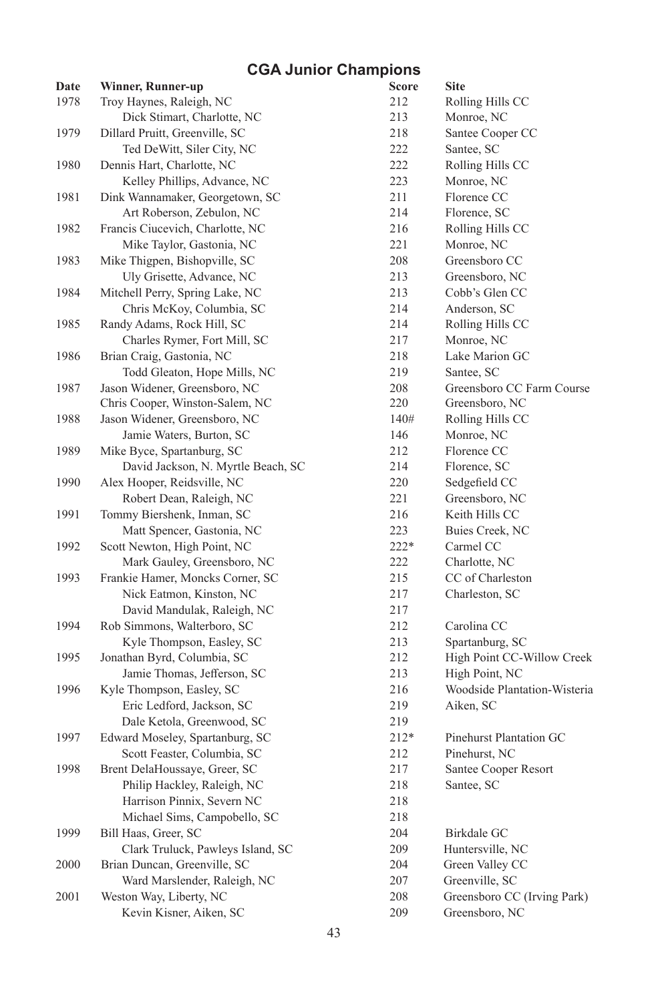| Date | <b>Winner, Runner-up</b>           | <b>Score</b> | <b>Site</b>                  |
|------|------------------------------------|--------------|------------------------------|
| 1978 | Troy Haynes, Raleigh, NC           | 212          | Rolling Hills CC             |
|      | Dick Stimart, Charlotte, NC        | 213          | Monroe, NC                   |
| 1979 | Dillard Pruitt, Greenville, SC     | 218          | Santee Cooper CC             |
|      | Ted DeWitt, Siler City, NC         | 222          | Santee, SC                   |
| 1980 | Dennis Hart, Charlotte, NC         | 222          | Rolling Hills CC             |
|      | Kelley Phillips, Advance, NC       | 223          | Monroe, NC                   |
| 1981 | Dink Wannamaker, Georgetown, SC    | 211          | Florence CC                  |
|      | Art Roberson, Zebulon, NC          | 214          | Florence, SC                 |
| 1982 | Francis Ciucevich, Charlotte, NC   | 216          | Rolling Hills CC             |
|      | Mike Taylor, Gastonia, NC          | 221          | Monroe, NC                   |
| 1983 | Mike Thigpen, Bishopville, SC      | 208          | Greensboro CC                |
|      | Uly Grisette, Advance, NC          | 213          | Greensboro, NC               |
| 1984 | Mitchell Perry, Spring Lake, NC    | 213          | Cobb's Glen CC               |
|      | Chris McKoy, Columbia, SC          | 214          | Anderson, SC                 |
| 1985 | Randy Adams, Rock Hill, SC         | 214          | Rolling Hills CC             |
|      | Charles Rymer, Fort Mill, SC       | 217          | Monroe, NC                   |
| 1986 | Brian Craig, Gastonia, NC          | 218          | Lake Marion GC               |
|      | Todd Gleaton, Hope Mills, NC       | 219          | Santee, SC                   |
| 1987 | Jason Widener, Greensboro, NC      | 208          | Greensboro CC Farm Course    |
|      | Chris Cooper, Winston-Salem, NC    | 220          | Greensboro, NC               |
| 1988 | Jason Widener, Greensboro, NC      | 140#         | Rolling Hills CC             |
|      | Jamie Waters, Burton, SC           | 146          | Monroe, NC                   |
| 1989 | Mike Byce, Spartanburg, SC         | 212          | Florence CC                  |
|      | David Jackson, N. Myrtle Beach, SC | 214          | Florence, SC                 |
| 1990 | Alex Hooper, Reidsville, NC        | 220          | Sedgefield CC                |
|      | Robert Dean, Raleigh, NC           | 221          | Greensboro, NC               |
| 1991 | Tommy Biershenk, Inman, SC         | 216          | Keith Hills CC               |
|      | Matt Spencer, Gastonia, NC         | 223          | Buies Creek, NC              |
| 1992 | Scott Newton, High Point, NC       | $222*$       | Carmel CC                    |
|      | Mark Gauley, Greensboro, NC        | 222          | Charlotte, NC                |
| 1993 | Frankie Hamer, Moncks Corner, SC   | 215          | CC of Charleston             |
|      | Nick Eatmon, Kinston, NC           | 217          | Charleston, SC               |
|      | David Mandulak, Raleigh, NC        | 217          |                              |
| 1994 | Rob Simmons, Walterboro, SC        | 212          | Carolina CC                  |
|      | Kyle Thompson, Easley, SC          | 213          | Spartanburg, SC              |
| 1995 | Jonathan Byrd, Columbia, SC        | 212          | High Point CC-Willow Creek   |
|      | Jamie Thomas, Jefferson, SC        | 213          | High Point, NC               |
| 1996 | Kyle Thompson, Easley, SC          | 216          | Woodside Plantation-Wisteria |
|      | Eric Ledford, Jackson, SC          | 219          | Aiken, SC                    |
|      | Dale Ketola, Greenwood, SC         | 219          |                              |
| 1997 | Edward Moseley, Spartanburg, SC    | $212*$       | Pinehurst Plantation GC      |
|      | Scott Feaster, Columbia, SC        | 212          | Pinehurst, NC                |
| 1998 | Brent DelaHoussaye, Greer, SC      | 217          | Santee Cooper Resort         |
|      | Philip Hackley, Raleigh, NC        | 218          | Santee, SC                   |
|      | Harrison Pinnix, Severn NC         | 218          |                              |
|      | Michael Sims, Campobello, SC       | 218          |                              |
| 1999 | Bill Haas, Greer, SC               | 204          | Birkdale GC                  |
|      | Clark Truluck, Pawleys Island, SC  | 209          | Huntersville, NC             |
| 2000 | Brian Duncan, Greenville, SC       | 204          | Green Valley CC              |
|      | Ward Marslender, Raleigh, NC       | 207          | Greenville, SC               |
| 2001 | Weston Way, Liberty, NC            | 208          | Greensboro CC (Irving Park)  |
|      | Kevin Kisner, Aiken, SC            | 209          | Greensboro, NC               |